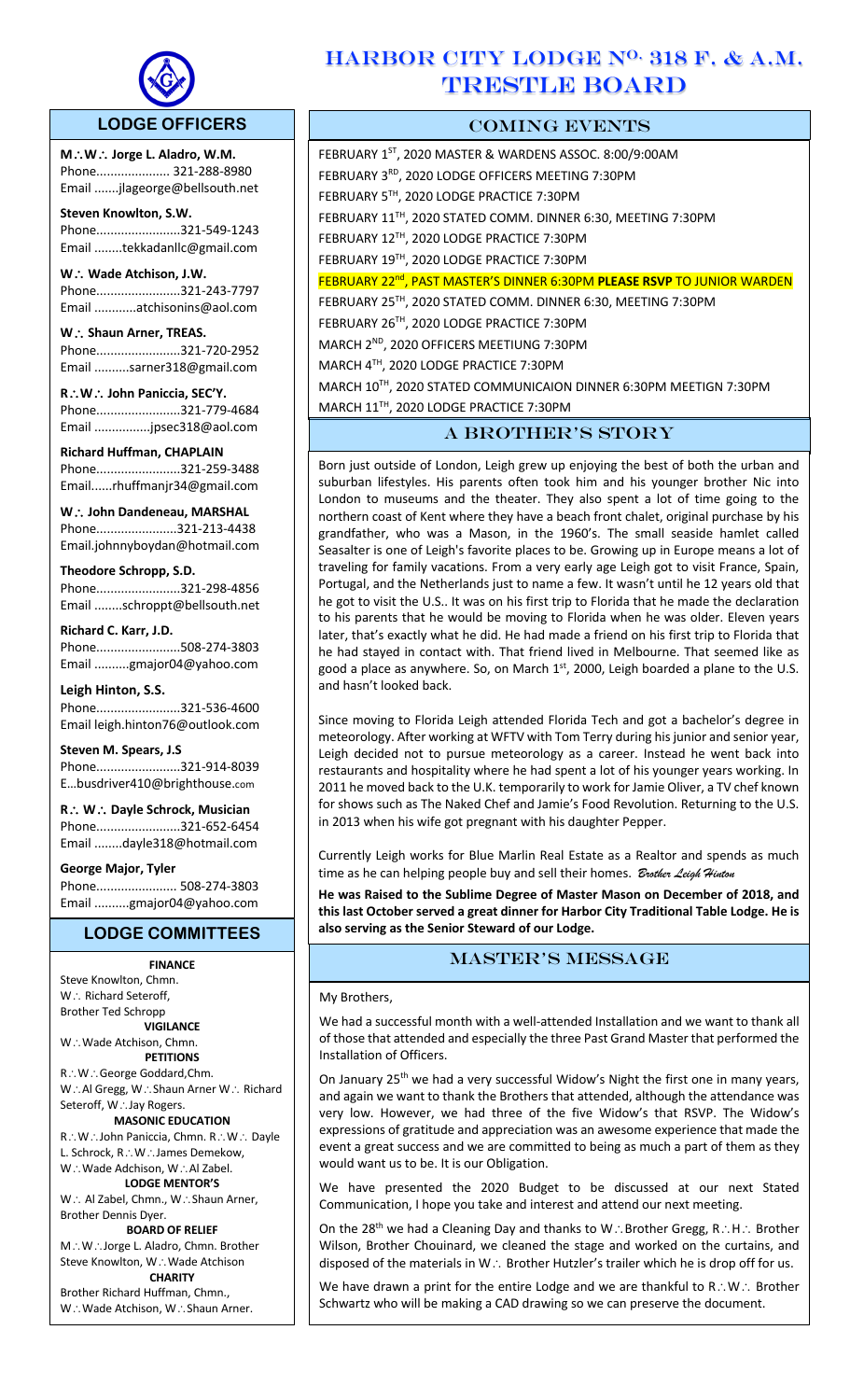

 $\overline{a}$ 

## **LODGE OFFICERS**

**M**\**W**\ **Jorge L. Aladro, W.M.** Phone..................... 321-288-8980 Email .......jlageorge@bellsouth.net

**Steven Knowlton, S.W.** Phone........................321-549-1243 Email ........tekkadanllc@gmail.com

W. **Wade Atchison, J.W.** Phone........................321-243-7797

Email ............atchisonins@aol.com W. **Shaun Arner, TREAS.** 

Phone........................321-720-2952 Email ..........sarner318@gmail.com

**R**\**W**\ **John Paniccia, SEC'Y.** Phone........................321-779-4684 Email ................jpsec318@aol.com

**Richard Huffman, CHAPLAIN** Phone........................321-259-3488 Email......rhuffmanjr34@gmail.com

**W** ∴ John Dandeneau, MARSHAL Phone.......................321-213-4438 Email.johnnyboydan@hotmail.com

### **Theodore Schropp, S.D.**

Phone........................321-298-4856 Email ........schroppt@bellsouth.net

**Richard C. Karr, J.D.**

Phone........................508-274-3803 Email ..........gmajor04@yahoo.com

**Leigh Hinton, S.S.** Phone........................321-536-4600 Email leigh.hinton76@outlook.com

**Steven M. Spears, J.S** Phone........................321-914-8039 E…busdriver410@brighthouse.com

**R**\ **W**\ **Dayle Schrock, Musician**  Phone........................321-652-6454 Email ........dayle318@hotmail.com

**George Major, Tyler** 

Phone....................... 508-274-3803 Email ..........gmajor04@yahoo.com

## **LODGE COMMITTEES**

## **FINANCE** Steve Knowlton, Chmn.

 $W:$  Richard Seteroff, Brother Ted Schropp **VIGILANCE**

W.: Wade Atchison, Chmn. **PETITIONS** R∴W∴George Goddard,Chm. W.: Al Gregg, W.: Shaun Arner W.: Richard Seteroff, W∴Jay Rogers. **MASONIC EDUCATION** R.: W.: John Paniccia, Chmn. R.: W.: Dayle L. Schrock, R∴W∴James Demekow,

W∴Wade Adchison, W∴Al Zabel. **LODGE MENTOR'S**

W. Al Zabel, Chmn., W. Shaun Arner, Brother Dennis Dyer.

**BOARD OF RELIEF** M.: W∴Jorge L. Aladro, Chmn. Brother Steve Knowlton, W∴Wade Atchison

**CHARITY** Brother Richard Huffman, Chmn., W.: Wade Atchison, W.: Shaun Arner.

# HARBOR CITY LODGE N<sup>O.</sup> 318 F. & A.M. TRESTLE BOARD

## COMING EVENTS

FEBRUARY 1<sup>ST</sup>, 2020 MASTER & WARDENS ASSOC. 8:00/9:00AM FEBRUARY 3RD, 2020 LODGE OFFICERS MEETING 7:30PM FEBRUARY 5TH, 2020 LODGE PRACTICE 7:30PM FEBRUARY 11TH, 2020 STATED COMM. DINNER 6:30, MEETING 7:30PM FEBRUARY 12TH, 2020 LODGE PRACTICE 7:30PM FEBRUARY 19TH, 2020 LODGE PRACTICE 7:30PM FEBRUARY 22nd, PAST MASTER'S DINNER 6:30PM **PLEASE RSVP** TO JUNIOR WARDEN FEBRUARY 25TH, 2020 STATED COMM. DINNER 6:30, MEETING 7:30PM FEBRUARY 26TH, 2020 LODGE PRACTICE 7:30PM

MARCH 2ND, 2020 OFFICERS MEETIUNG 7:30PM

MARCH 4TH, 2020 LODGE PRACTICE 7:30PM

MARCH 10TH, 2020 STATED COMMUNICAION DINNER 6:30PM MEETIGN 7:30PM

MARCH 11TH, 2020 LODGE PRACTICE 7:30PM

## A BROTHER'S STORY

Born just outside of London, Leigh grew up enjoying the best of both the urban and suburban lifestyles. His parents often took him and his younger brother Nic into London to museums and the theater. They also spent a lot of time going to the northern coast of Kent where they have a beach front chalet, original purchase by his grandfather, who was a Mason, in the 1960's. The small seaside hamlet called Seasalter is one of Leigh's favorite places to be. Growing up in Europe means a lot of traveling for family vacations. From a very early age Leigh got to visit France, Spain, Portugal, and the Netherlands just to name a few. It wasn't until he 12 years old that he got to visit the U.S.. It was on his first trip to Florida that he made the declaration to his parents that he would be moving to Florida when he was older. Eleven years later, that's exactly what he did. He had made a friend on his first trip to Florida that he had stayed in contact with. That friend lived in Melbourne. That seemed like as good a place as anywhere. So, on March  $1<sup>st</sup>$ , 2000, Leigh boarded a plane to the U.S. and hasn't looked back.

Since moving to Florida Leigh attended Florida Tech and got a bachelor's degree in meteorology. After working at WFTV with Tom Terry during his junior and senior year, Leigh decided not to pursue meteorology as a career. Instead he went back into restaurants and hospitality where he had spent a lot of his younger years working. In 2011 he moved back to the U.K. temporarily to work for Jamie Oliver, a TV chef known for shows such as The Naked Chef and Jamie's Food Revolution. Returning to the U.S. in 2013 when his wife got pregnant with his daughter Pepper.

Currently Leigh works for Blue Marlin Real Estate as a Realtor and spends as much time as he can helping people buy and sell their homes. *Brother Leigh Hinton*

**He was Raised to the Sublime Degree of Master Mason on December of 2018, and this last October served a great dinner for Harbor City Traditional Table Lodge. He is also serving as the Senior Steward of our Lodge.**

## master's message

#### My Brothers,

We had a successful month with a well-attended Installation and we want to thank all of those that attended and especially the three Past Grand Master that performed the Installation of Officers.

On January 25<sup>th</sup> we had a very successful Widow's Night the first one in many years, and again we want to thank the Brothers that attended, although the attendance was very low. However, we had three of the five Widow's that RSVP. The Widow's expressions of gratitude and appreciation was an awesome experience that made the event a great success and we are committed to being as much a part of them as they would want us to be. It is our Obligation.

We have presented the 2020 Budget to be discussed at our next Stated Communication, I hope you take and interest and attend our next meeting.

On the 28<sup>th</sup> we had a Cleaning Day and thanks to W.: Brother Gregg, R.: H.: Brother Wilson, Brother Chouinard, we cleaned the stage and worked on the curtains, and disposed of the materials in W $\therefore$  Brother Hutzler's trailer which he is drop off for us.

We have drawn a print for the entire Lodge and we are thankful to  $R.\dot{W}.\dot{B}$  Brother Schwartz who will be making a CAD drawing so we can preserve the document.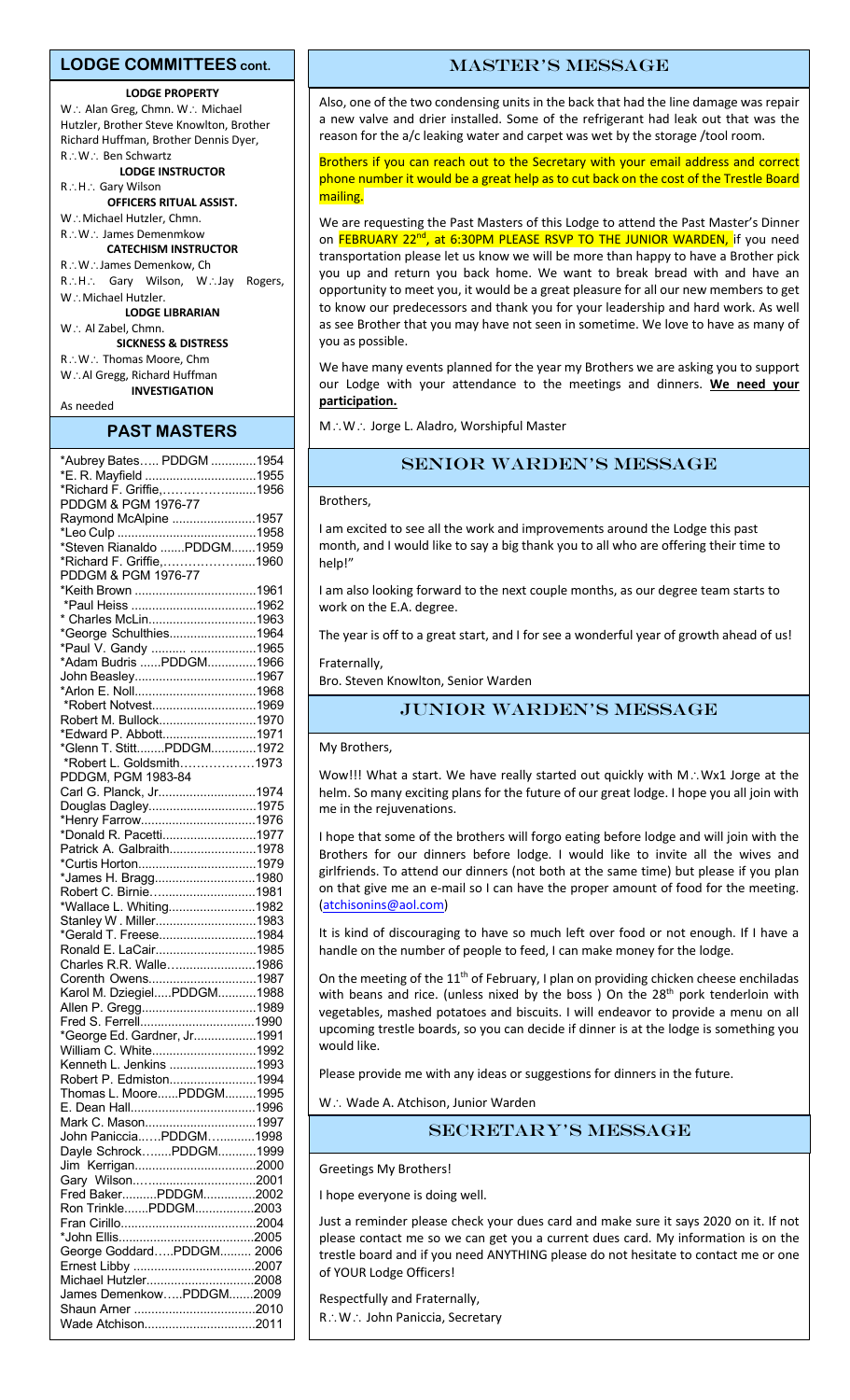#### **LODGE COMMITTEES cont.**

#### **LODGE PROPERTY**

 $W:$  Alan Greg, Chmn. W. Michael Hutzler, Brother Steve Knowlton, Brother Richard Huffman, Brother Dennis Dyer, R: W: Ben Schwartz **LODGE INSTRUCTOR**

R.: H.: Gary Wilson

**OFFICERS RITUAL ASSIST.**

W.: Michael Hutzler, Chmn. R.: W.: James Demenmkow **CATECHISM INSTRUCTOR**

R.: W∴James Demenkow, Ch R.: H.: Gary Wilson, W.: Jay Rogers, W.: Michael Hutzler. **LODGE LIBRARIAN** W. Al Zabel, Chmn.

**SICKNESS & DISTRESS**  $R\colon W\colon$  Thomas Moore, Chm

W.: Al Gregg, Richard Huffman **INVESTIGATION**

### As needed **PAST MASTERS**

| *Aubrey Bates PDDGM 1954    |  |
|-----------------------------|--|
|                             |  |
| *E. R. Mayfield 1955        |  |
| *Richard F. Griffie,1956    |  |
| PDDGM & PGM 1976-77         |  |
|                             |  |
| Raymond McAlpine 1957       |  |
|                             |  |
| *Steven Rianaldo PDDGM1959  |  |
|                             |  |
| *Richard F. Griffie,1960    |  |
| PDDGM & PGM 1976-77         |  |
| *Keith Brown 1961           |  |
|                             |  |
|                             |  |
| * Charles McLin1963         |  |
| *George Schulthies1964      |  |
|                             |  |
| *Paul V. Gandy  1965        |  |
| *Adam Budris PDDGM1966      |  |
| John Beasley1967            |  |
|                             |  |
|                             |  |
| *Robert Notvest1969         |  |
| Robert M. Bullock1970       |  |
|                             |  |
| *Edward P. Abbott1971       |  |
| *Glenn T. StittPDDGM1972    |  |
| *Robert L. Goldsmith1973    |  |
|                             |  |
| PDDGM, PGM 1983-84          |  |
| Carl G. Planck, Jr1974      |  |
| Douglas Dagley1975          |  |
|                             |  |
| *Henry Farrow1976           |  |
| *Donald R. Pacetti1977      |  |
| Patrick A. Galbraith1978    |  |
|                             |  |
|                             |  |
| *James H. Bragg1980         |  |
| Robert C. Birnie1981        |  |
| *Wallace L. Whiting1982     |  |
|                             |  |
| Stanley W. Miller1983       |  |
| *Gerald T. Freese1984       |  |
| Ronald E. LaCair1985        |  |
|                             |  |
| Charles R.R. Walle1986      |  |
| Corenth Owens1987           |  |
| Karol M. DziegielPDDGM1988  |  |
|                             |  |
| Allen P. Gregg1989          |  |
|                             |  |
| *George Ed. Gardner, Jr1991 |  |
|                             |  |
| William C. White1992        |  |
| Kenneth L. Jenkins 1993     |  |
| Robert P. Edmiston1994      |  |
| Thomas L. MoorePDDGM1995    |  |
|                             |  |
|                             |  |
| Mark C. Mason1997           |  |
|                             |  |
| John PanicciaPDDGM1998      |  |
| Dayle SchrockPDDGM1999      |  |
|                             |  |
|                             |  |
|                             |  |
| Fred BakerPDDGM2002         |  |
| Ron TrinklePDDGM2003        |  |
|                             |  |
|                             |  |
|                             |  |
| George GoddardPDDGM 2006    |  |
|                             |  |
|                             |  |
| Michael Hutzler2008         |  |
| James DemenkowPDDGM2009     |  |
|                             |  |
|                             |  |
| Wade Atchison2011           |  |
|                             |  |

#### master's message

Also, one of the two condensing units in the back that had the line damage was repair a new valve and drier installed. Some of the refrigerant had leak out that was the reason for the a/c leaking water and carpet was wet by the storage /tool room.

Brothers if you can reach out to the Secretary with your email address and correct phone number it would be a great help as to cut back on the cost of the Trestle Board mailing.

We are requesting the Past Masters of this Lodge to attend the Past Master's Dinner on FEBRUARY 22<sup>nd</sup>, at 6:30PM PLEASE RSVP TO THE JUNIOR WARDEN, if you need transportation please let us know we will be more than happy to have a Brother pick you up and return you back home. We want to break bread with and have an opportunity to meet you, it would be a great pleasure for all our new members to get to know our predecessors and thank you for your leadership and hard work. As well as see Brother that you may have not seen in sometime. We love to have as many of you as possible.

We have many events planned for the year my Brothers we are asking you to support our Lodge with your attendance to the meetings and dinners. **We need your participation.**

M.: W.: Jorge L. Aladro, Worshipful Master

## Senior Warden's message

#### Brothers,

I am excited to see all the work and improvements around the Lodge this past month, and I would like to say a big thank you to all who are offering their time to help!"

I am also looking forward to the next couple months, as our degree team starts to work on the E.A. degree.

The year is off to a great start, and I for see a wonderful year of growth ahead of us!

**Fraternally** 

Bro. Steven Knowlton, Senior Warden

### JUnior Warden's message

My Brothers,

Wow!!! What a start. We have really started out quickly with M.: Wx1 Jorge at the helm. So many exciting plans for the future of our great lodge. I hope you all join with me in the rejuvenations.

I hope that some of the brothers will forgo eating before lodge and will join with the Brothers for our dinners before lodge. I would like to invite all the wives and girlfriends. To attend our dinners (not both at the same time) but please if you plan on that give me an e-mail so I can have the proper amount of food for the meeting. (atchisonins@aol.com)

It is kind of discouraging to have so much left over food or not enough. If I have a handle on the number of people to feed, I can make money for the lodge.

On the meeting of the 11<sup>th</sup> of February, I plan on providing chicken cheese enchiladas with beans and rice. (unless nixed by the boss) On the 28<sup>th</sup> pork tenderloin with vegetables, mashed potatoes and biscuits. I will endeavor to provide a menu on all upcoming trestle boards, so you can decide if dinner is at the lodge is something you would like.

Please provide me with any ideas or suggestions for dinners in the future.

 $W:$  Wade A. Atchison, Junior Warden

### Secretary's message

Greetings My Brothers!

I hope everyone is doing well.

Just a reminder please check your dues card and make sure it says 2020 on it. If not please contact me so we can get you a current dues card. My information is on the trestle board and if you need ANYTHING please do not hesitate to contact me or one of YOUR Lodge Officers!

Respectfully and Fraternally,

R.: W.: John Paniccia, Secretary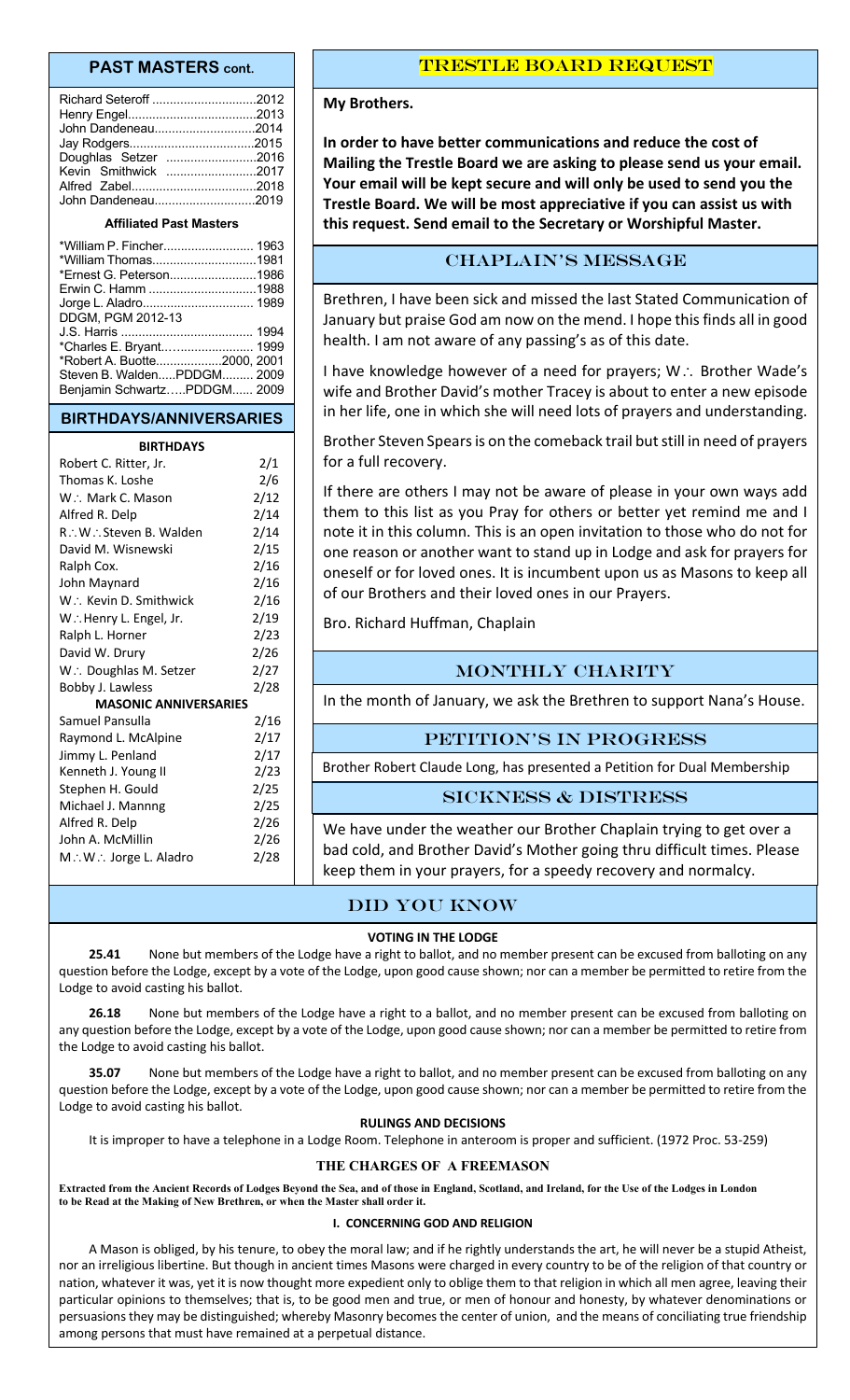### **PAST MASTERS cont.**

| John Dandeneau2014   |  |
|----------------------|--|
|                      |  |
| Doughlas Setzer 2016 |  |
| Kevin Smithwick 2017 |  |
|                      |  |
| John Dandeneau2019   |  |
|                      |  |

#### **Affiliated Past Masters**

| *William Thomas1981         |  |
|-----------------------------|--|
| *Ernest G. Peterson1986     |  |
|                             |  |
|                             |  |
| DDGM, PGM 2012-13           |  |
|                             |  |
| *Charles E. Bryant 1999     |  |
| *Robert A. Buotte2000, 2001 |  |
| Steven B. WaldenPDDGM 2009  |  |
| Benjamin SchwartzPDDGM 2009 |  |
|                             |  |

#### **BIRTHDAYS/ANNIVERSARIES**

#### **BIRTHDAYS**

| Robert C. Ritter, Jr.        | 2/1  |  |
|------------------------------|------|--|
| Thomas K. Loshe              | 2/6  |  |
| W.: Mark C. Mason            | 2/12 |  |
| Alfred R. Delp               | 2/14 |  |
| R∴W∴Steven B. Walden         | 2/14 |  |
| David M. Wisnewski           | 2/15 |  |
| Ralph Cox.                   | 2/16 |  |
| John Maynard                 | 2/16 |  |
| W.: Kevin D. Smithwick       | 2/16 |  |
| W∴Henry L. Engel, Jr.        | 2/19 |  |
| Ralph L. Horner              | 2/23 |  |
| David W. Drury               | 2/26 |  |
| W.: Doughlas M. Setzer       | 2/27 |  |
| Bobby J. Lawless             | 2/28 |  |
| <b>MASONIC ANNIVERSARIES</b> |      |  |
| Samuel Pansulla              | 2/16 |  |
| Raymond L. McAlpine          | 2/17 |  |
| Jimmy L. Penland             | 2/17 |  |
| Kenneth J. Young II          | 2/23 |  |
| Stephen H. Gould             | 2/25 |  |
| Michael J. Mannng            | 2/25 |  |
| Alfred R. Delp               | 2/26 |  |
| John A. McMillin             | 2/26 |  |
| M∴W∴ Jorge L. Aladro         | 2/28 |  |
|                              |      |  |

### Trestle board request

#### **My Brothers.**

**In order to have better communications and reduce the cost of Mailing the Trestle Board we are asking to please send us your email. Your email will be kept secure and will only be used to send you the Trestle Board. We will be most appreciative if you can assist us with this request. Send email to the Secretary or Worshipful Master.**

### CHAPLAIN's message

Brethren, I have been sick and missed the last Stated Communication of January but praise God am now on the mend. I hope this finds all in good health. I am not aware of any passing's as of this date.

I have knowledge however of a need for prayers;  $W \cdot$ : Brother Wade's wife and Brother David's mother Tracey is about to enter a new episode in her life, one in which she will need lots of prayers and understanding.

Brother Steven Spears is on the comeback trail but still in need of prayers for a full recovery.

If there are others I may not be aware of please in your own ways add them to this list as you Pray for others or better yet remind me and I note it in this column. This is an open invitation to those who do not for one reason or another want to stand up in Lodge and ask for prayers for oneself or for loved ones. It is incumbent upon us as Masons to keep all of our Brothers and their loved ones in our Prayers.

Bro. Richard Huffman, Chaplain

## MONTHLY CHARITY

In the month of January, we ask the Brethren to support Nana's House.

#### PETITION'S IN PROGRESS

Brother Robert Claude Long, has presented a Petition for Dual Membership

#### Sickness & distress

We have under the weather our Brother Chaplain trying to get over a bad cold, and Brother David's Mother going thru difficult times. Please keep them in your prayers, for a speedy recovery and normalcy.

### Did you know

#### **VOTING IN THE LODGE**

**25.41** None but members of the Lodge have a right to ballot, and no member present can be excused from balloting on any question before the Lodge, except by a vote of the Lodge, upon good cause shown; nor can a member be permitted to retire from the Lodge to avoid casting his ballot.

**26.18** None but members of the Lodge have a right to a ballot, and no member present can be excused from balloting on any question before the Lodge, except by a vote of the Lodge, upon good cause shown; nor can a member be permitted to retire from the Lodge to avoid casting his ballot.

**35.07** None but members of the Lodge have a right to ballot, and no member present can be excused from balloting on any question before the Lodge, except by a vote of the Lodge, upon good cause shown; nor can a member be permitted to retire from the Lodge to avoid casting his ballot.

#### **RULINGS AND DECISIONS**

It is improper to have a telephone in a Lodge Room. Telephone in anteroom is proper and sufficient. (1972 Proc. 53-259)

#### **THE CHARGES OF A FREEMASON**

**Extracted from the Ancient Records of Lodges Beyond the Sea, and of those in England, Scotland, and Ireland, for the Use of the Lodges in London to be Read at the Making of New Brethren, or when the Master shall order it.**

#### **I. CONCERNING GOD AND RELIGION**

A Mason is obliged, by his tenure, to obey the moral law; and if he rightly understands the art, he will never be a stupid Atheist, nor an irreligious libertine. But though in ancient times Masons were charged in every country to be of the religion of that country or nation, whatever it was, yet it is now thought more expedient only to oblige them to that religion in which all men agree, leaving their particular opinions to themselves; that is, to be good men and true, or men of honour and honesty, by whatever denominations or persuasions they may be distinguished; whereby Masonry becomes the center of union, and the means of conciliating true friendship among persons that must have remained at a perpetual distance.